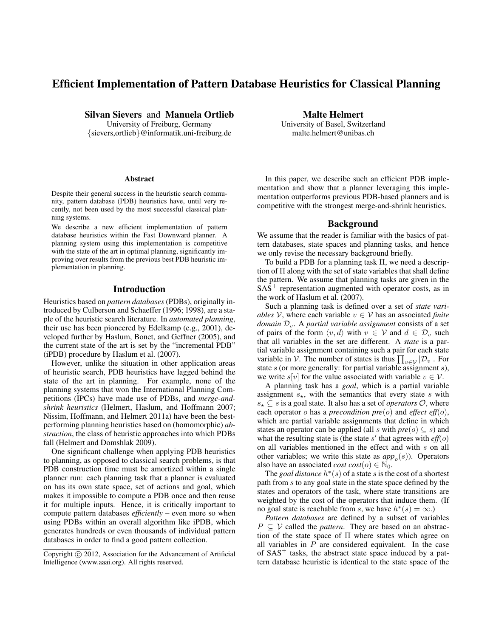# Efficient Implementation of Pattern Database Heuristics for Classical Planning

Silvan Sievers and Manuela Ortlieb

University of Freiburg, Germany {sievers,ortlieb}@informatik.uni-freiburg.de

#### **Abstract**

Despite their general success in the heuristic search community, pattern database (PDB) heuristics have, until very recently, not been used by the most successful classical planning systems.

We describe a new efficient implementation of pattern database heuristics within the Fast Downward planner. A planning system using this implementation is competitive with the state of the art in optimal planning, significantly improving over results from the previous best PDB heuristic implementation in planning.

### Introduction

Heuristics based on *pattern databases* (PDBs), originally introduced by Culberson and Schaeffer (1996; 1998), are a staple of the heuristic search literature. In *automated planning*, their use has been pioneered by Edelkamp (e.g., 2001), developed further by Haslum, Bonet, and Geffner (2005), and the current state of the art is set by the "incremental PDB" (iPDB) procedure by Haslum et al. (2007).

However, unlike the situation in other application areas of heuristic search, PDB heuristics have lagged behind the state of the art in planning. For example, none of the planning systems that won the International Planning Competitions (IPCs) have made use of PDBs, and *merge-andshrink heuristics* (Helmert, Haslum, and Hoffmann 2007; Nissim, Hoffmann, and Helmert 2011a) have been the bestperforming planning heuristics based on (homomorphic) *abstraction*, the class of heuristic approaches into which PDBs fall (Helmert and Domshlak 2009).

One significant challenge when applying PDB heuristics to planning, as opposed to classical search problems, is that PDB construction time must be amortized within a single planner run: each planning task that a planner is evaluated on has its own state space, set of actions and goal, which makes it impossible to compute a PDB once and then reuse it for multiple inputs. Hence, it is critically important to compute pattern databases *efficiently* – even more so when using PDBs within an overall algorithm like iPDB, which generates hundreds or even thousands of individual pattern databases in order to find a good pattern collection.

Malte Helmert University of Basel, Switzerland malte.helmert@unibas.ch

In this paper, we describe such an efficient PDB implementation and show that a planner leveraging this implementation outperforms previous PDB-based planners and is competitive with the strongest merge-and-shrink heuristics.

#### Background

We assume that the reader is familiar with the basics of pattern databases, state spaces and planning tasks, and hence we only revise the necessary background briefly.

To build a PDB for a planning task Π, we need a description of  $\Pi$  along with the set of state variables that shall define the pattern. We assume that planning tasks are given in the  $SAS<sup>+</sup>$  representation augmented with operator costs, as in the work of Haslum et al. (2007).

Such a planning task is defined over a set of *state variables* V, where each variable  $v \in V$  has an associated *finite domain*  $\mathcal{D}_v$ . A *partial variable assignment* consists of a set of pairs of the form  $\langle v, d \rangle$  with  $v \in V$  and  $d \in \mathcal{D}_v$  such that all variables in the set are different. A *state* is a partial variable assignment containing such a pair for each state variable in V. The number of states is thus  $\prod_{v \in V} |\mathcal{D}_v|$ . For state  $s$  (or more generally: for partial variable assignment  $s$ ), we write  $s[v]$  for the value associated with variable  $v \in V$ .

A planning task has a *goal*, which is a partial variable assignment  $s_{\star}$ , with the semantics that every state s with  $s_{\star} \subset s$  is a goal state. It also has a set of *operators*  $\mathcal{O}$ , where each operator o has a *precondition pre*(o) and *effect eff*(o), which are partial variable assignments that define in which states an operator can be applied (all s with  $pre(o) \subseteq s$ ) and what the resulting state is (the state  $s'$  that agrees with  $\textit{eff}(o)$ on all variables mentioned in the effect and with s on all other variables; we write this state as  $app_o(s)$ ). Operators also have an associated *cost cost*( $o$ )  $\in$  N<sub>0</sub>.

The *goal distance*  $h^*(s)$  of a state s is the cost of a shortest path from s to any goal state in the state space defined by the states and operators of the task, where state transitions are weighted by the cost of the operators that induce them. (If no goal state is reachable from s, we have  $h^*(s) = \infty$ .)

*Pattern databases* are defined by a subset of variables  $P \subseteq V$  called the *pattern*. They are based on an abstraction of the state space of Π where states which agree on all variables in  $P$  are considered equivalent. In the case of  $SAS<sup>+</sup>$  tasks, the abstract state space induced by a pattern database heuristic is identical to the state space of the

Copyright © 2012, Association for the Advancement of Artificial Intelligence (www.aaai.org). All rights reserved.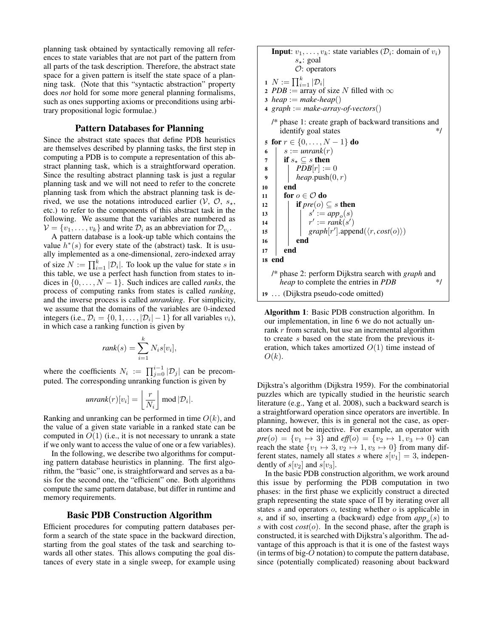planning task obtained by syntactically removing all references to state variables that are not part of the pattern from all parts of the task description. Therefore, the abstract state space for a given pattern is itself the state space of a planning task. (Note that this "syntactic abstraction" property does *not* hold for some more general planning formalisms, such as ones supporting axioms or preconditions using arbitrary propositional logic formulae.)

## Pattern Databases for Planning

Since the abstract state spaces that define PDB heuristics are themselves described by planning tasks, the first step in computing a PDB is to compute a representation of this abstract planning task, which is a straightforward operation. Since the resulting abstract planning task is just a regular planning task and we will not need to refer to the concrete planning task from which the abstract planning task is derived, we use the notations introduced earlier  $(V, \mathcal{O}, s_{\star},$ etc.) to refer to the components of this abstract task in the following. We assume that the variables are numbered as  $\mathcal{V} = \{v_1, \dots, v_k\}$  and write  $\mathcal{D}_i$  as an abbreviation for  $\mathcal{D}_{v_i}$ .

A pattern database is a look-up table which contains the value  $h^*(s)$  for every state of the (abstract) task. It is usually implemented as a one-dimensional, zero-indexed array of size  $N := \prod_{i=1}^{k} |\mathcal{D}_i|$ . To look up the value for state s in this table, we use a perfect hash function from states to indices in  $\{0, \ldots, N-1\}$ . Such indices are called *ranks*, the process of computing ranks from states is called *ranking*, and the inverse process is called *unranking*. For simplicity, we assume that the domains of the variables are 0-indexed integers (i.e.,  $\mathcal{D}_i = \{0, 1, \dots, |\mathcal{D}_i| - 1\}$  for all variables  $v_i$ ), in which case a ranking function is given by

$$
rank(s) = \sum_{i=1}^{k} N_i s[v_i],
$$

where the coefficients  $N_i := \prod_{j=0}^{i-1} |\mathcal{D}_j|$  can be precomputed. The corresponding unranking function is given by

$$
unrank(r)[v_i] = \left\lfloor \frac{r}{N_i} \right\rfloor \text{mod } |\mathcal{D}_i|.
$$

Ranking and unranking can be performed in time  $O(k)$ , and the value of a given state variable in a ranked state can be computed in  $O(1)$  (i.e., it is not necessary to unrank a state if we only want to access the value of one or a few variables).

In the following, we describe two algorithms for computing pattern database heuristics in planning. The first algorithm, the "basic" one, is straightforward and serves as a basis for the second one, the "efficient" one. Both algorithms compute the same pattern database, but differ in runtime and memory requirements.

## Basic PDB Construction Algorithm

Efficient procedures for computing pattern databases perform a search of the state space in the backward direction, starting from the goal states of the task and searching towards all other states. This allows computing the goal distances of every state in a single sweep, for example using

**Input:** 
$$
v_1, ..., v_k
$$
: state variables ( $\mathcal{D}_i$ : domain of  $v_i$ )  
\n $s_{\star}$ : goal  
\n $\mathcal{O}$ : operators  
\n1  $N := \prod_{i=1}^{k} |\mathcal{D}_i|$   
\n2 *PDB* := array of size *N* filled with  $\infty$   
\n3 *heap* := *make-heap*()  
\n4 *graph* := *make-array-of-vectors*()  
\n/\* phase 1: create graph of backward transitions and  
\nidentity goal states  
\n5 **for**  $r \in \{0, ..., N - 1\}$  **do**  
\n6  $s := \text{unrank}(r)$   
\n7 **if**  $s_{\star} \subseteq s$  **then**  
\n8 **PDF**[ $r$ ] := 0  
\n9 **heap.push**(0,  $r$ )  
\n10 **end**  
\n11 **for**  $o \in \mathcal{O}$  **do**  
\n12 **if** *pre*( $o$ )  $\subseteq s$  **then**  
\n13 **if**  $s' := app_o(s)$   
\n14 **if**  $pre(o) \subseteq s$  **then**  
\n15 **graph**[ $r'$ ].append( $\langle r, cost(o) \rangle$ )  
\n16 **end**  
\n17 **end**  
\n18 **end**  
\n/\* phase 2: perform Dijkstra search with *graph* and  
\n*heap* to complete the entries in *PDB*  
\n19 ... (Dijkstra pseudo-code omitted)

Algorithm 1: Basic PDB construction algorithm. In our implementation, in line 6 we do not actually unrank r from scratch, but use an incremental algorithm to create s based on the state from the previous iteration, which takes amortized  $O(1)$  time instead of  $O(k)$ .

Dijkstra's algorithm (Dijkstra 1959). For the combinatorial puzzles which are typically studied in the heuristic search literature (e.g., Yang et al. 2008), such a backward search is a straightforward operation since operators are invertible. In planning, however, this is in general not the case, as operators need not be injective. For example, an operator with  $pre(o) = \{v_1 \mapsto 3\}$  and  $eff(o) = \{v_2 \mapsto 1, v_3 \mapsto 0\}$  can reach the state  $\{v_1 \mapsto 3, v_2 \mapsto 1, v_3 \mapsto 0\}$  from many different states, namely all states s where  $s[v_1] = 3$ , independently of  $s[v_2]$  and  $s[v_3]$ .

In the basic PDB construction algorithm, we work around this issue by performing the PDB computation in two phases: in the first phase we explicitly construct a directed graph representing the state space of Π by iterating over all states  $s$  and operators  $o$ , testing whether  $o$  is applicable in  $s$ , and if so, inserting a (backward) edge from  $app_o(s)$  to s with cost *cost*(o). In the second phase, after the graph is constructed, it is searched with Dijkstra's algorithm. The advantage of this approach is that it is one of the fastest ways (in terms of big- $O$  notation) to compute the pattern database, since (potentially complicated) reasoning about backward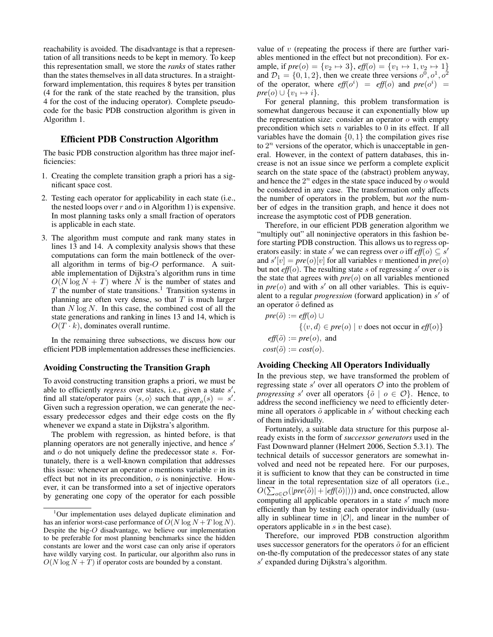reachability is avoided. The disadvantage is that a representation of all transitions needs to be kept in memory. To keep this representation small, we store the *ranks* of states rather than the states themselves in all data structures. In a straightforward implementation, this requires 8 bytes per transition (4 for the rank of the state reached by the transition, plus 4 for the cost of the inducing operator). Complete pseudocode for the basic PDB construction algorithm is given in Algorithm 1.

#### Efficient PDB Construction Algorithm

The basic PDB construction algorithm has three major inefficiencies:

- 1. Creating the complete transition graph a priori has a significant space cost.
- 2. Testing each operator for applicability in each state (i.e., the nested loops over  $r$  and  $o$  in Algorithm 1) is expensive. In most planning tasks only a small fraction of operators is applicable in each state.
- 3. The algorithm must compute and rank many states in lines 13 and 14. A complexity analysis shows that these computations can form the main bottleneck of the overall algorithm in terms of big-O performance. A suitable implementation of Dijkstra's algorithm runs in time  $O(N \log N + T)$  where N is the number of states and  $T$  the number of state transitions.<sup>1</sup> Transition systems in planning are often very dense, so that  $T$  is much larger than  $N \log N$ . In this case, the combined cost of all the state generations and ranking in lines 13 and 14, which is  $O(T \cdot k)$ , dominates overall runtime.

In the remaining three subsections, we discuss how our efficient PDB implementation addresses these inefficiencies.

### Avoiding Constructing the Transition Graph

To avoid constructing transition graphs a priori, we must be able to efficiently *regress* over states, i.e., given a state s', find all state/operator pairs  $\langle s, o \rangle$  such that  $app_o(s) = s'$ . Given such a regression operation, we can generate the necessary predecessor edges and their edge costs on the fly whenever we expand a state in Dijkstra's algorithm.

The problem with regression, as hinted before, is that planning operators are not generally injective, and hence  $s'$ and  $o$  do not uniquely define the predecessor state  $s$ . Fortunately, there is a well-known compilation that addresses this issue: whenever an operator  $o$  mentions variable  $v$  in its effect but not in its precondition,  $o$  is noninjective. However, it can be transformed into a set of injective operators by generating one copy of the operator for each possible value of  $v$  (repeating the process if there are further variables mentioned in the effect but not precondition). For example, if  $pre(o) = \{v_2 \mapsto 3\}$ ,  $eff(o) = \{v_1 \mapsto 1, v_2 \mapsto 1\}$ and  $\mathcal{D}_1 = \{0, 1, 2\}$ , then we create three versions  $o^0, o^1, o^2$ of the operator, where  $eff(o^i) = eff(o)$  and  $pre(o^i) =$  $pre(o) \cup \{v_1 \mapsto i\}.$ 

For general planning, this problem transformation is somewhat dangerous because it can exponentially blow up the representation size: consider an operator  $o$  with empty precondition which sets  $n$  variables to  $0$  in its effect. If all variables have the domain  $\{0, 1\}$  the compilation gives rise to  $2^n$  versions of the operator, which is unacceptable in general. However, in the context of pattern databases, this increase is not an issue since we perform a complete explicit search on the state space of the (abstract) problem anyway, and hence the  $2^n$  edges in the state space induced by  $\sigma$  would be considered in any case. The transformation only affects the number of operators in the problem, but *not* the number of edges in the transition graph, and hence it does not increase the asymptotic cost of PDB generation.

Therefore, in our efficient PDB generation algorithm we "multiply out" all noninjective operators in this fashion before starting PDB construction. This allows us to regress operators easily: in state s' we can regress over o iff  $\ell(f(\rho)) \subseteq s'$ and  $s'[v] = pre(o)[v]$  for all variables v mentioned in  $pre(o)$ but not  $\textit{eff}(o)$ . The resulting state s of regressing s' over o is the state that agrees with  $pre(o)$  on all variables mentioned in  $pre(o)$  and with  $s'$  on all other variables. This is equivalent to a regular *progression* (forward application) in s' of an operator  $\tilde{o}$  defined as

$$
pre(\tilde{o}) := eff(o) \cup
$$
  

$$
\{ \langle v, d \rangle \in pre(o) \mid v \text{ does not occur in } eff(o) \}
$$
  

$$
eff(\tilde{o}) := pre(o), \text{ and}
$$
  

$$
cost(\tilde{o}) := cost(o).
$$

#### Avoiding Checking All Operators Individually

In the previous step, we have transformed the problem of regressing state  $s'$  over all operators  $\mathcal O$  into the problem of *progressing* s' over all operators  $\{\tilde{o} \mid o \in \mathcal{O}\}\right)$ . Hence, to address the second inefficiency we need to efficiently determine all operators  $\tilde{o}$  applicable in  $s'$  without checking each of them individually.

Fortunately, a suitable data structure for this purpose already exists in the form of *successor generators* used in the Fast Downward planner (Helmert 2006, Section 5.3.1). The technical details of successor generators are somewhat involved and need not be repeated here. For our purposes, it is sufficient to know that they can be constructed in time linear in the total representation size of all operators (i.e.,  $O(\sum_{o \in \mathcal{O}}(|\textit{pre}(\tilde{o})| + |\textit{eff}(\tilde{o})|)))$  and, once constructed, allow computing all applicable operators in a state  $s'$  much more efficiently than by testing each operator individually (usually in sublinear time in  $|O|$ , and linear in the number of operators applicable in s in the best case).

Therefore, our improved PDB construction algorithm uses successor generators for the operators  $\tilde{o}$  for an efficient on-the-fly computation of the predecessor states of any state s' expanded during Dijkstra's algorithm.

 $1$ Our implementation uses delayed duplicate elimination and has an inferior worst-case performance of  $\overline{O}(N \log N + T \log N)$ . Despite the big-O disadvantage, we believe our implementation to be preferable for most planning benchmarks since the hidden constants are lower and the worst case can only arise if operators have wildly varying cost. In particular, our algorithm also runs in  $O(N \log N + T)$  if operator costs are bounded by a constant.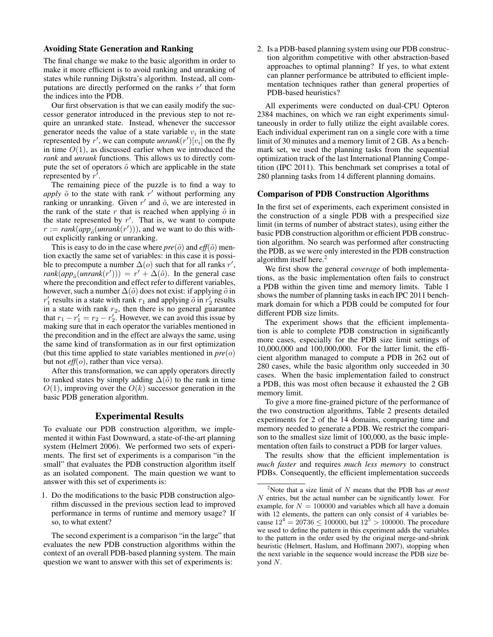#### Avoiding State Generation and Ranking

The final change we make to the basic algorithm in order to make it more efficient is to avoid ranking and unranking of states while running Dijkstra's algorithm. Instead, all computations are directly performed on the ranks  $r'$  that form the indices into the PDB.

Our first observation is that we can easily modify the successor generator introduced in the previous step to not require an unranked state. Instead, whenever the successor generator needs the value of a state variable  $v_i$  in the state represented by r', we can compute  $unrank(r')[v_i]$  on the fly in time  $O(1)$ , as discussed earlier when we introduced the *rank* and *unrank* functions. This allows us to directly compute the set of operators  $\tilde{o}$  which are applicable in the state represented by  $r^7$ .

The remaining piece of the puzzle is to find a way to *apply*  $\tilde{o}$  to the state with rank  $r'$  without performing any ranking or unranking. Given  $r'$  and  $\tilde{o}$ , we are interested in the rank of the state  $r$  that is reached when applying  $\tilde{o}$  in the state represented by  $r'$ . That is, we want to compute  $r := rank(app_{\tilde{o}}(unrank(r')))$ , and we want to do this without explicitly ranking or unranking.

This is easy to do in the case where  $pre(\tilde{o})$  and  $eff(\tilde{o})$  mention exactly the same set of variables: in this case it is possible to precompute a number  $\Delta(o)$  such that for all ranks r',  $rank(ap_{\tilde{o}}(unrank(r'))) = r' + \Delta(\tilde{o})$ . In the general case where the precondition and effect refer to different variables, however, such a number  $\Delta(\tilde{o})$  does not exist: if applying  $\tilde{o}$  in  $r'_1$  results in a state with rank  $r_1$  and applying  $\tilde{o}$  in  $r'_2$  results in a state with rank  $r_2$ , then there is no general guarantee that  $r_1 - r_1' = r_2 - r_2'$ . However, we can avoid this issue by making sure that in each operator the variables mentioned in the precondition and in the effect are always the same, using the same kind of transformation as in our first optimization (but this time applied to state variables mentioned in *pre*(o) but not *eff*(*o*), rather than vice versa).

After this transformation, we can apply operators directly to ranked states by simply adding  $\Delta(\tilde{o})$  to the rank in time  $O(1)$ , improving over the  $O(k)$  successor generation in the basic PDB generation algorithm.

## Experimental Results

To evaluate our PDB construction algorithm, we implemented it within Fast Downward, a state-of-the-art planning system (Helmert 2006). We performed two sets of experiments. The first set of experiments is a comparison "in the small" that evaluates the PDB construction algorithm itself as an isolated component. The main question we want to answer with this set of experiments is:

1. Do the modifications to the basic PDB construction algorithm discussed in the previous section lead to improved performance in terms of runtime and memory usage? If so, to what extent?

The second experiment is a comparison "in the large" that evaluates the new PDB construction algorithms within the context of an overall PDB-based planning system. The main question we want to answer with this set of experiments is:

2. Is a PDB-based planning system using our PDB construction algorithm competitive with other abstraction-based approaches to optimal planning? If yes, to what extent can planner performance be attributed to efficient implementation techniques rather than general properties of PDB-based heuristics?

All experiments were conducted on dual-CPU Opteron 2384 machines, on which we ran eight experiments simultaneously in order to fully utilize the eight available cores. Each individual experiment ran on a single core with a time limit of 30 minutes and a memory limit of 2 GB. As a benchmark set, we used the planning tasks from the sequential optimization track of the last International Planning Competition (IPC 2011). This benchmark set comprises a total of 280 planning tasks from 14 different planning domains.

#### Comparison of PDB Construction Algorithms

In the first set of experiments, each experiment consisted in the construction of a single PDB with a prespecified size limit (in terms of number of abstract states), using either the basic PDB construction algorithm or efficient PDB construction algorithm. No search was performed after constructing the PDB, as we were only interested in the PDB construction algorithm itself here. $<sup>2</sup>$ </sup>

We first show the general *coverage* of both implementations, as the basic implementation often fails to construct a PDB within the given time and memory limits. Table 1 shows the number of planning tasks in each IPC 2011 benchmark domain for which a PDB could be computed for four different PDB size limits.

The experiment shows that the efficient implementation is able to complete PDB construction in significantly more cases, especially for the PDB size limit settings of 10,000,000 and 100,000,000. For the latter limit, the efficient algorithm managed to compute a PDB in 262 out of 280 cases, while the basic algorithm only succeeded in 30 cases. When the basic implementation failed to construct a PDB, this was most often because it exhausted the 2 GB memory limit.

To give a more fine-grained picture of the performance of the two construction algorithms, Table 2 presents detailed experiments for 2 of the 14 domains, comparing time and memory needed to generate a PDB. We restrict the comparison to the smallest size limit of 100,000, as the basic implementation often fails to construct a PDB for larger values.

The results show that the efficient implementation is *much faster* and requires *much less memory* to construct PDBs. Consequently, the efficient implementation succeeds

<sup>2</sup>Note that a size limit of N means that the PDB has *at most* N entries, but the actual number can be significantly lower. For example, for  $N = 100000$  and variables which all have a domain with 12 elements, the pattern can only consist of 4 variables because  $12^4 = 20736 \le 100000$ , but  $12^5 > 100000$ . The procedure we used to define the pattern in this experiment adds the variables to the pattern in the order used by the original merge-and-shrink heuristic (Helmert, Haslum, and Hoffmann 2007), stopping when the next variable in the sequence would increase the PDB size beyond  $N$ .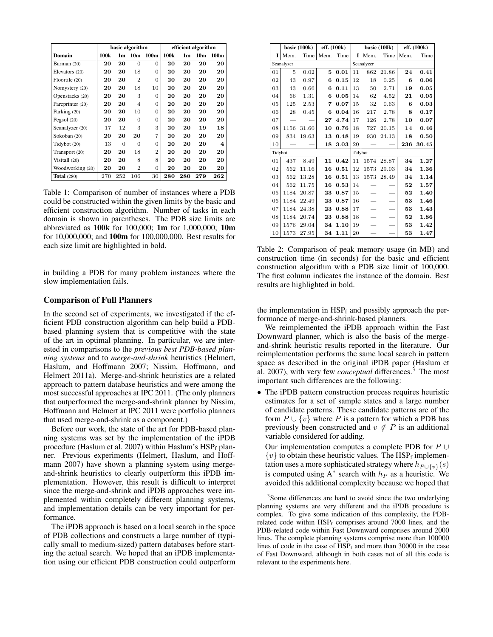|                    | basic algorithm |                |                 |                  | efficient algorithm |     |                 |                         |
|--------------------|-----------------|----------------|-----------------|------------------|---------------------|-----|-----------------|-------------------------|
| Domain             | 100k            | 1 <sub>m</sub> | 10 <sub>m</sub> | 100 <sub>m</sub> | 100 <sub>k</sub>    | 1m  | 10 <sub>m</sub> | 100 <sub>m</sub>        |
| Barman (20)        | 20              | 20             | $\Omega$        | 0                | 20                  | 20  | 20              | 20                      |
| Elevators (20)     | 20              | 20             | 18              | 0                | 20                  | 20  | 20              | 20                      |
| Floortile (20)     | 20              | 20             | $\overline{2}$  | 0                | 20                  | 20  | 20              | 20                      |
| Nomystery (20)     | 20              | 20             | 18              | 10               | 20                  | 20  | 20              | 20                      |
| Openstacks (20)    | 20              | 20             | 3               | 0                | 20                  | 20  | 20              | 20                      |
| Parcprinter (20)   | 20              | 20             | $\overline{4}$  | $\Omega$         | 20                  | 20  | 20              | 20                      |
| Parking (20)       | 20              | 20             | 10              | 0                | 20                  | 20  | 20              | 20                      |
| Pegsol $(20)$      | 20              | 20             | $\Omega$        | $\Omega$         | 20                  | 20  | 20              | 20                      |
| Scanalyzer (20)    | 17              | 12             | 3               | 3                | 20                  | 20  | 19              | 18                      |
| Sokoban (20)       | 20              | 20             | 20              | 7                | 20                  | 20  | 20              | 20                      |
| Tidybot (20)       | 13              | $\Omega$       | $\Omega$        | $\Omega$         | 20                  | 20  | 20              | $\overline{\mathbf{4}}$ |
| Transport (20)     | 20              | 20             | 18              | $\overline{2}$   | 20                  | 20  | 20              | 20                      |
| Visitall (20)      | 20              | 20             | 8               | 8                | 20                  | 20  | 20              | 20                      |
| Woodworking (20)   | 20              | 20             | $\overline{2}$  | 0                | 20                  | 20  | 20              | 20                      |
| <b>Total</b> (280) | 270             | 252            | 106             | 30               | 280                 | 280 | 279             | 262                     |

Table 1: Comparison of number of instances where a PDB could be constructed within the given limits by the basic and efficient construction algorithm. Number of tasks in each domain is shown in parentheses. The PDB size limits are abbreviated as 100k for 100,000; 1m for 1,000,000; 10m for 10,000,000; and 100m for 100,000,000. Best results for each size limit are highlighted in bold.

in building a PDB for many problem instances where the slow implementation fails.

### Comparison of Full Planners

In the second set of experiments, we investigated if the efficient PDB construction algorithm can help build a PDBbased planning system that is competitive with the state of the art in optimal planning. In particular, we are interested in comparisons to the *previous best PDB-based planning systems* and to *merge-and-shrink* heuristics (Helmert, Haslum, and Hoffmann 2007; Nissim, Hoffmann, and Helmert 2011a). Merge-and-shrink heuristics are a related approach to pattern database heuristics and were among the most successful approaches at IPC 2011. (The only planners that outperformed the merge-and-shrink planner by Nissim, Hoffmann and Helmert at IPC 2011 were portfolio planners that used merge-and-shrink as a component.)

Before our work, the state of the art for PDB-based planning systems was set by the implementation of the iPDB procedure (Haslum et al. 2007) within Haslum's  $HSP_f$  planner. Previous experiments (Helmert, Haslum, and Hoffmann 2007) have shown a planning system using mergeand-shrink heuristics to clearly outperform this iPDB implementation. However, this result is difficult to interpret since the merge-and-shrink and iPDB approaches were implemented within completely different planning systems, and implementation details can be very important for performance.

The iPDB approach is based on a local search in the space of PDB collections and constructs a large number of (typically small to medium-sized) pattern databases before starting the actual search. We hoped that an iPDB implementation using our efficient PDB construction could outperform

|                | basic $(100k)$ |       | eff. (100k) |      |    | basic (100k) |       | eff. (100k) |       |  |
|----------------|----------------|-------|-------------|------|----|--------------|-------|-------------|-------|--|
| L              | Mem.           | Time  | Mem.        | Time | I  | Mem.         | Time  | Mem.        | Time  |  |
|                | Scanalyzer     |       |             |      |    | Scanalyzer   |       |             |       |  |
| 01             | 5              | 0.02  | 5           | 0.01 | 11 | 862          | 21.86 | 24          | 0.41  |  |
| 02             | 43             | 0.97  | 6           | 0.15 | 12 | 18           | 0.25  | 6           | 0.06  |  |
| 03             | 43             | 0.66  | 6           | 0.11 | 13 | 50           | 2.71  | 19          | 0.05  |  |
| 04             | 66             | 1.31  | 6           | 0.05 | 14 | 62           | 4.52  | 21          | 0.05  |  |
| 05             | 125            | 2.53  | 7           | 0.07 | 15 | 32           | 0.63  | 6           | 0.03  |  |
| 06             | 28             | 0.45  | 6           | 0.04 | 16 | 217          | 2.78  | 8           | 0.17  |  |
| 07             |                |       | 27          | 4.74 | 17 | 126          | 2.78  | 10          | 0.07  |  |
| 08             | 1156           | 31.60 | 10          | 0.76 | 18 | 727          | 20.15 | 14          | 0.46  |  |
| 09             | 834            | 19.63 | 13          | 0.48 | 19 | 930          | 24.13 | 18          | 0.50  |  |
| 10             |                |       | 18          | 3.03 | 20 |              |       | 236         | 30.45 |  |
|                | Tidybot        |       |             |      |    | Tidybot      |       |             |       |  |
| 01             | 437            | 8.49  | 11          | 0.42 | 11 | 1574         | 28.87 | 34          | 1.27  |  |
| 0 <sub>2</sub> | 562            | 11.16 | 16          | 0.51 | 12 | 1573         | 29.03 | 34          | 1.36  |  |
| 03             | 562            | 13.28 | 16          | 0.51 | 13 | 1573         | 28.49 | 34          | 1.14  |  |
| 04             | 562            | 11.75 | 16          | 0.53 | 14 |              |       | 52          | 1.57  |  |
| 05             | 1184           | 20.87 | 23          | 0.87 | 15 |              |       | 52          | 1.40  |  |
| 06             | 1184           | 22.49 | 23          | 0.87 | 16 |              |       | 53          | 1.46  |  |
| 07             | 1184           | 24.38 | 23          | 0.88 | 17 |              |       | 53          | 1.43  |  |
| 08             | 1184           | 20.74 | 23          | 0.88 | 18 |              |       | 52          | 1.86  |  |
| 09             | 1576           | 29.04 | 34          | 1.10 | 19 |              |       | 53          | 1.42  |  |
| 10             | 1573           | 27.95 | 34          | 1.11 | 20 |              |       | 53          | 1.47  |  |

Table 2: Comparison of peak memory usage (in MB) and construction time (in seconds) for the basic and efficient construction algorithm with a PDB size limit of 100,000. The first column indicates the instance of the domain. Best results are highlighted in bold.

the implementation in  $HSP_f$  and possibly approach the performance of merge-and-shrink-based planners.

We reimplemented the iPDB approach within the Fast Downward planner, which is also the basis of the mergeand-shrink heuristic results reported in the literature. Our reimplementation performs the same local search in pattern space as described in the original iPDB paper (Haslum et al. 2007), with very few *conceptual* differences.<sup>3</sup> The most important such differences are the following:

• The iPDB pattern construction process requires heuristic estimates for a set of sample states and a large number of candidate patterns. These candidate patterns are of the form  $P \cup \{v\}$  where P is a pattern for which a PDB has previously been constructed and  $v \notin P$  is an additional variable considered for adding.

Our implementation computes a complete PDB for  $P \cup$  $\{v\}$  to obtain these heuristic values. The HSP<sub>f</sub> implementation uses a more sophisticated strategy where  $h_{P \cup \{v\}}(s)$ is computed using A<sup>\*</sup> search with  $h_P$  as a heuristic. We avoided this additional complexity because we hoped that

<sup>&</sup>lt;sup>3</sup>Some differences are hard to avoid since the two underlying planning systems are very different and the iPDB procedure is complex. To give some indication of this complexity, the PDBrelated code within  $HSP_f$  comprises around 7000 lines, and the PDB-related code within Fast Downward comprises around 2000 lines. The complete planning systems comprise more than 100000 lines of code in the case of  $HSP_f$  and more than 30000 in the case of Fast Downward, although in both cases not of all this code is relevant to the experiments here.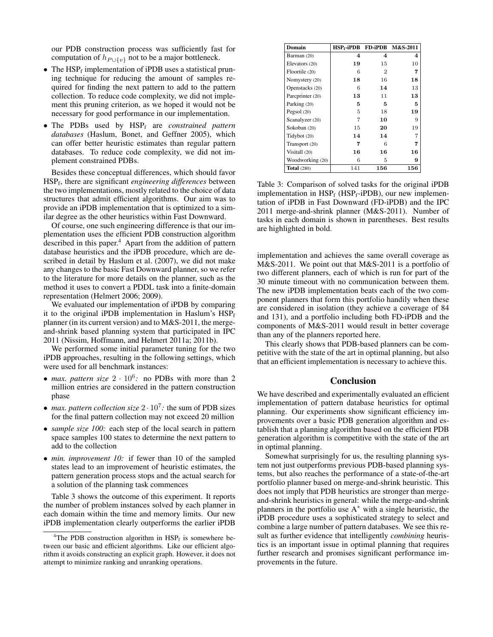our PDB construction process was sufficiently fast for computation of  $h_{P \cup \{v\}}$  not to be a major bottleneck.

- The  $HSP_f$  implementation of iPDB uses a statistical pruning technique for reducing the amount of samples required for finding the next pattern to add to the pattern collection. To reduce code complexity, we did not implement this pruning criterion, as we hoped it would not be necessary for good performance in our implementation.
- The PDBs used by HSP<sup>f</sup> are *constrained pattern databases* (Haslum, Bonet, and Geffner 2005), which can offer better heuristic estimates than regular pattern databases. To reduce code complexity, we did not implement constrained PDBs.

Besides these conceptual differences, which should favor HSP<sup>f</sup> , there are significant *engineering differences* between the two implementations, mostly related to the choice of data structures that admit efficient algorithms. Our aim was to provide an iPDB implementation that is optimized to a similar degree as the other heuristics within Fast Downward.

Of course, one such engineering difference is that our implementation uses the efficient PDB construction algorithm described in this paper.<sup>4</sup> Apart from the addition of pattern database heuristics and the iPDB procedure, which are described in detail by Haslum et al. (2007), we did not make any changes to the basic Fast Downward planner, so we refer to the literature for more details on the planner, such as the method it uses to convert a PDDL task into a finite-domain representation (Helmert 2006; 2009).

We evaluated our implementation of iPDB by comparing it to the original iPDB implementation in Haslum's  $HSP<sub>f</sub>$ planner (in its current version) and to M&S-2011, the mergeand-shrink based planning system that participated in IPC 2011 (Nissim, Hoffmann, and Helmert 2011a; 2011b).

We performed some initial parameter tuning for the two iPDB approaches, resulting in the following settings, which were used for all benchmark instances:

- *max. pattern size*  $2 \cdot 10^6$ : no PDBs with more than 2 million entries are considered in the pattern construction phase
- *max. pattern collection size*  $2 \cdot 10^7$ *: the sum of PDB sizes* for the final pattern collection may not exceed 20 million
- *sample size 100:* each step of the local search in pattern space samples 100 states to determine the next pattern to add to the collection
- *min. improvement 10:* if fewer than 10 of the sampled states lead to an improvement of heuristic estimates, the pattern generation process stops and the actual search for a solution of the planning task commences

Table 3 shows the outcome of this experiment. It reports the number of problem instances solved by each planner in each domain within the time and memory limits. Our new iPDB implementation clearly outperforms the earlier iPDB

| Domain             | HSP + iPDB | FD-iPDB | M&S-2011 |
|--------------------|------------|---------|----------|
| Barman (20)        | 4          | 4       | 4        |
| Elevators (20)     | 19         | 15      | 10       |
| Floortile (20)     | 6          | 2       | 7        |
| Nomystery (20)     | 18         | 16      | 18       |
| Openstacks (20)    | 6          | 14      | 13       |
| Parcprinter (20)   | 13         | 11      | 13       |
| Parking (20)       | 5          | 5       | 5        |
| Pegsol $(20)$      | 5          | 18      | 19       |
| Scanalyzer (20)    | 7          | 10      | 9        |
| Sokoban (20)       | 15         | 20      | 19       |
| Tidybot (20)       | 14         | 14      | 7        |
| Transport (20)     | 7          | 6       | 7        |
| Visitall (20)      | 16         | 16      | 16       |
| Woodworking (20)   | 6          | 5       | 9        |
| <b>Total</b> (280) | 141        | 156     | 156      |

Table 3: Comparison of solved tasks for the original iPDB implementation in  $HSP_f$  ( $HSP_f$ -iPDB), our new implementation of iPDB in Fast Downward (FD-iPDB) and the IPC 2011 merge-and-shrink planner (M&S-2011). Number of tasks in each domain is shown in parentheses. Best results are highlighted in bold.

implementation and achieves the same overall coverage as M&S-2011. We point out that M&S-2011 is a portfolio of two different planners, each of which is run for part of the 30 minute timeout with no communication between them. The new iPDB implementation beats each of the two component planners that form this portfolio handily when these are considered in isolation (they achieve a coverage of 84 and 131), and a portfolio including both FD-iPDB and the components of M&S-2011 would result in better coverage than any of the planners reported here.

This clearly shows that PDB-based planners can be competitive with the state of the art in optimal planning, but also that an efficient implementation is necessary to achieve this.

## Conclusion

We have described and experimentally evaluated an efficient implementation of pattern database heuristics for optimal planning. Our experiments show significant efficiency improvements over a basic PDB generation algorithm and establish that a planning algorithm based on the efficient PDB generation algorithm is competitive with the state of the art in optimal planning.

Somewhat surprisingly for us, the resulting planning system not just outperforms previous PDB-based planning systems, but also reaches the performance of a state-of-the-art portfolio planner based on merge-and-shrink heuristic. This does not imply that PDB heuristics are stronger than mergeand-shrink heuristics in general: while the merge-and-shrink planners in the portfolio use  $A^*$  with a single heuristic, the iPDB procedure uses a sophisticated strategy to select and combine a large number of pattern databases. We see this result as further evidence that intelligently *combining* heuristics is an important issue in optimal planning that requires further research and promises significant performance improvements in the future.

<sup>&</sup>lt;sup>4</sup>The PDB construction algorithm in  $HSP_f$  is somewhere between our basic and efficient algorithms. Like our efficient algorithm it avoids constructing an explicit graph. However, it does not attempt to minimize ranking and unranking operations.